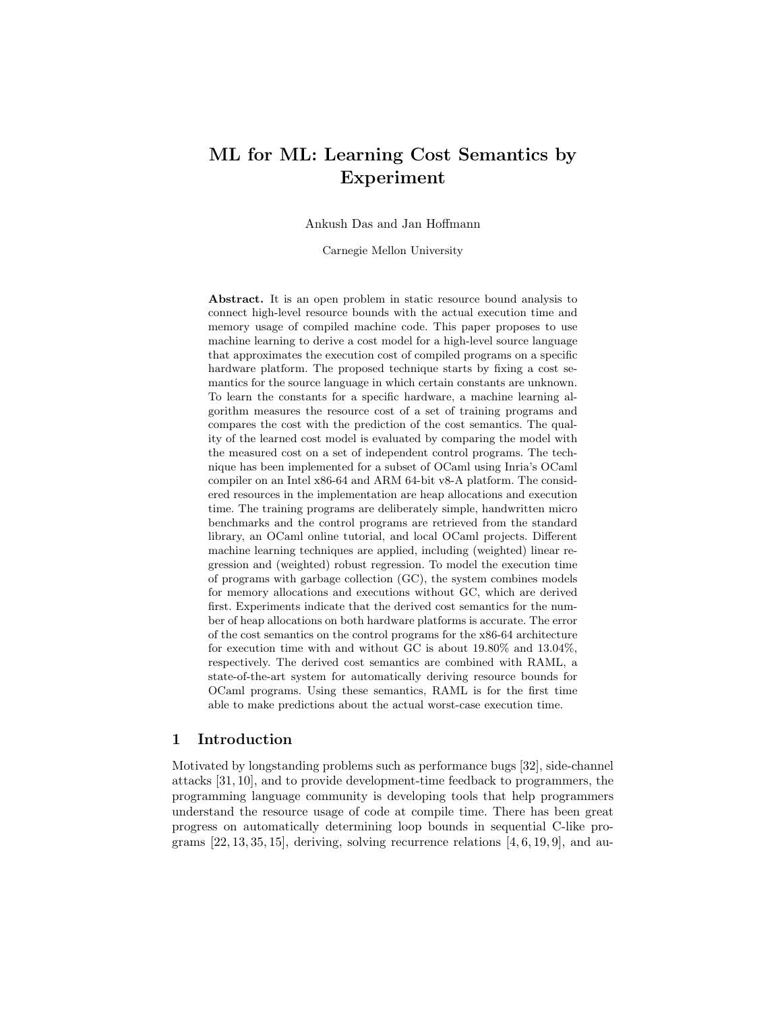# ML for ML: Learning Cost Semantics by Experiment

Ankush Das and Jan Hoffmann

Carnegie Mellon University

Abstract. It is an open problem in static resource bound analysis to connect high-level resource bounds with the actual execution time and memory usage of compiled machine code. This paper proposes to use machine learning to derive a cost model for a high-level source language that approximates the execution cost of compiled programs on a specific hardware platform. The proposed technique starts by fixing a cost semantics for the source language in which certain constants are unknown. To learn the constants for a specific hardware, a machine learning algorithm measures the resource cost of a set of training programs and compares the cost with the prediction of the cost semantics. The quality of the learned cost model is evaluated by comparing the model with the measured cost on a set of independent control programs. The technique has been implemented for a subset of OCaml using Inria's OCaml compiler on an Intel x86-64 and ARM 64-bit v8-A platform. The considered resources in the implementation are heap allocations and execution time. The training programs are deliberately simple, handwritten micro benchmarks and the control programs are retrieved from the standard library, an OCaml online tutorial, and local OCaml projects. Different machine learning techniques are applied, including (weighted) linear regression and (weighted) robust regression. To model the execution time of programs with garbage collection (GC), the system combines models for memory allocations and executions without GC, which are derived first. Experiments indicate that the derived cost semantics for the number of heap allocations on both hardware platforms is accurate. The error of the cost semantics on the control programs for the x86-64 architecture for execution time with and without GC is about 19.80% and 13.04%, respectively. The derived cost semantics are combined with RAML, a state-of-the-art system for automatically deriving resource bounds for OCaml programs. Using these semantics, RAML is for the first time able to make predictions about the actual worst-case execution time.

#### 1 Introduction

Motivated by longstanding problems such as performance bugs [32], side-channel attacks [31, 10], and to provide development-time feedback to programmers, the programming language community is developing tools that help programmers understand the resource usage of code at compile time. There has been great progress on automatically determining loop bounds in sequential C-like programs  $[22, 13, 35, 15]$ , deriving, solving recurrence relations  $[4, 6, 19, 9]$ , and au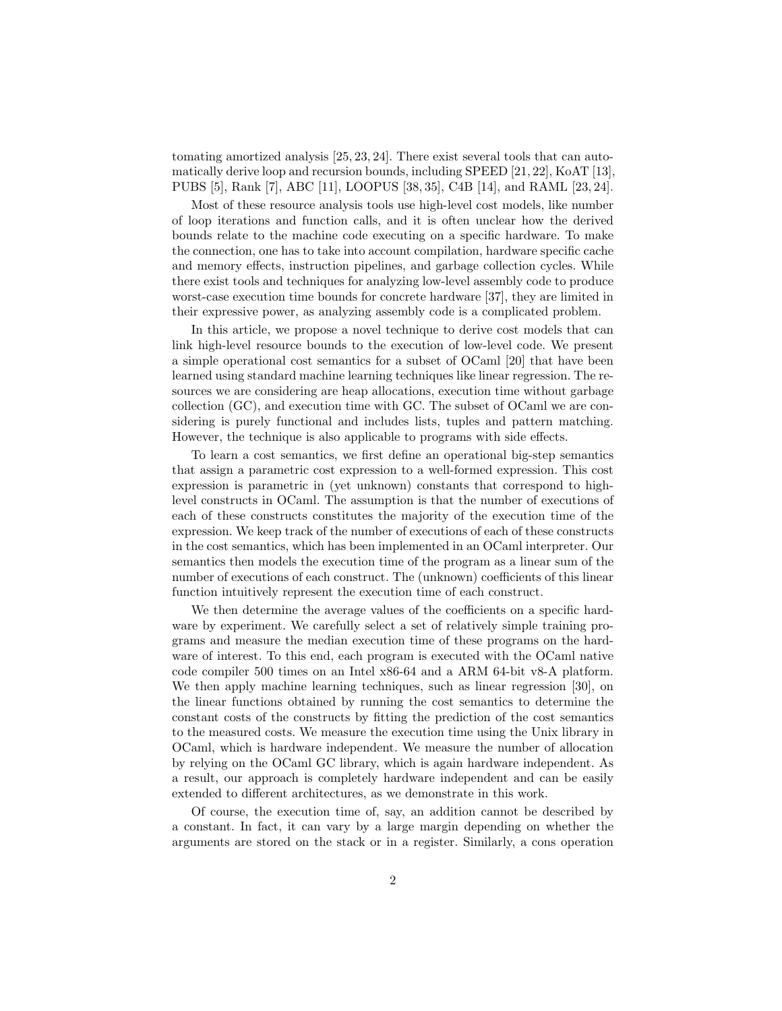tomating amortized analysis [25, 23, 24]. There exist several tools that can automatically derive loop and recursion bounds, including SPEED [21, 22], KoAT [13], PUBS [5], Rank [7], ABC [11], LOOPUS [38, 35], C4B [14], and RAML [23, 24].

Most of these resource analysis tools use high-level cost models, like number of loop iterations and function calls, and it is often unclear how the derived bounds relate to the machine code executing on a specific hardware. To make the connection, one has to take into account compilation, hardware specific cache and memory effects, instruction pipelines, and garbage collection cycles. While there exist tools and techniques for analyzing low-level assembly code to produce worst-case execution time bounds for concrete hardware [37], they are limited in their expressive power, as analyzing assembly code is a complicated problem.

In this article, we propose a novel technique to derive cost models that can link high-level resource bounds to the execution of low-level code. We present a simple operational cost semantics for a subset of OCaml [20] that have been learned using standard machine learning techniques like linear regression. The resources we are considering are heap allocations, execution time without garbage collection (GC), and execution time with GC. The subset of OCaml we are considering is purely functional and includes lists, tuples and pattern matching. However, the technique is also applicable to programs with side effects.

To learn a cost semantics, we first define an operational big-step semantics that assign a parametric cost expression to a well-formed expression. This cost expression is parametric in (yet unknown) constants that correspond to highlevel constructs in OCaml. The assumption is that the number of executions of each of these constructs constitutes the majority of the execution time of the expression. We keep track of the number of executions of each of these constructs in the cost semantics, which has been implemented in an OCaml interpreter. Our semantics then models the execution time of the program as a linear sum of the number of executions of each construct. The (unknown) coefficients of this linear function intuitively represent the execution time of each construct.

We then determine the average values of the coefficients on a specific hardware by experiment. We carefully select a set of relatively simple training programs and measure the median execution time of these programs on the hardware of interest. To this end, each program is executed with the OCaml native code compiler 500 times on an Intel x86-64 and a ARM 64-bit v8-A platform. We then apply machine learning techniques, such as linear regression [30], on the linear functions obtained by running the cost semantics to determine the constant costs of the constructs by fitting the prediction of the cost semantics to the measured costs. We measure the execution time using the Unix library in OCaml, which is hardware independent. We measure the number of allocation by relying on the OCaml GC library, which is again hardware independent. As a result, our approach is completely hardware independent and can be easily extended to different architectures, as we demonstrate in this work.

Of course, the execution time of, say, an addition cannot be described by a constant. In fact, it can vary by a large margin depending on whether the arguments are stored on the stack or in a register. Similarly, a cons operation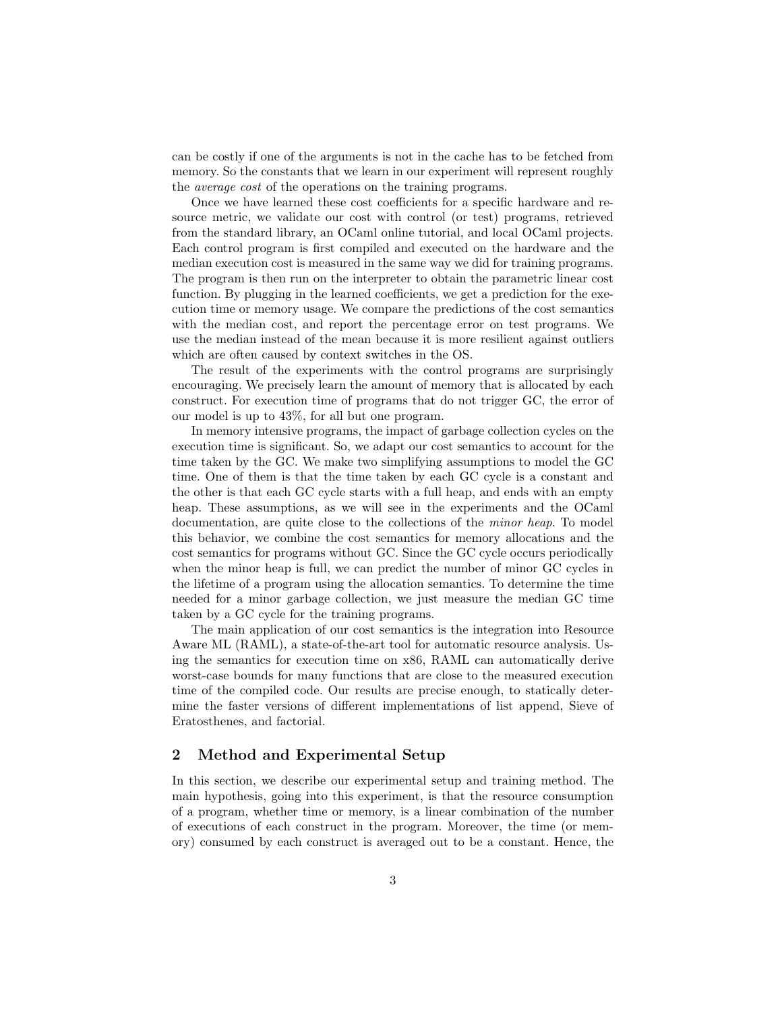can be costly if one of the arguments is not in the cache has to be fetched from memory. So the constants that we learn in our experiment will represent roughly the average cost of the operations on the training programs.

Once we have learned these cost coefficients for a specific hardware and resource metric, we validate our cost with control (or test) programs, retrieved from the standard library, an OCaml online tutorial, and local OCaml projects. Each control program is first compiled and executed on the hardware and the median execution cost is measured in the same way we did for training programs. The program is then run on the interpreter to obtain the parametric linear cost function. By plugging in the learned coefficients, we get a prediction for the execution time or memory usage. We compare the predictions of the cost semantics with the median cost, and report the percentage error on test programs. We use the median instead of the mean because it is more resilient against outliers which are often caused by context switches in the OS.

The result of the experiments with the control programs are surprisingly encouraging. We precisely learn the amount of memory that is allocated by each construct. For execution time of programs that do not trigger GC, the error of our model is up to 43%, for all but one program.

In memory intensive programs, the impact of garbage collection cycles on the execution time is significant. So, we adapt our cost semantics to account for the time taken by the GC. We make two simplifying assumptions to model the GC time. One of them is that the time taken by each GC cycle is a constant and the other is that each GC cycle starts with a full heap, and ends with an empty heap. These assumptions, as we will see in the experiments and the OCaml documentation, are quite close to the collections of the minor heap. To model this behavior, we combine the cost semantics for memory allocations and the cost semantics for programs without GC. Since the GC cycle occurs periodically when the minor heap is full, we can predict the number of minor GC cycles in the lifetime of a program using the allocation semantics. To determine the time needed for a minor garbage collection, we just measure the median GC time taken by a GC cycle for the training programs.

The main application of our cost semantics is the integration into Resource Aware ML (RAML), a state-of-the-art tool for automatic resource analysis. Using the semantics for execution time on x86, RAML can automatically derive worst-case bounds for many functions that are close to the measured execution time of the compiled code. Our results are precise enough, to statically determine the faster versions of different implementations of list append, Sieve of Eratosthenes, and factorial.

#### 2 Method and Experimental Setup

In this section, we describe our experimental setup and training method. The main hypothesis, going into this experiment, is that the resource consumption of a program, whether time or memory, is a linear combination of the number of executions of each construct in the program. Moreover, the time (or memory) consumed by each construct is averaged out to be a constant. Hence, the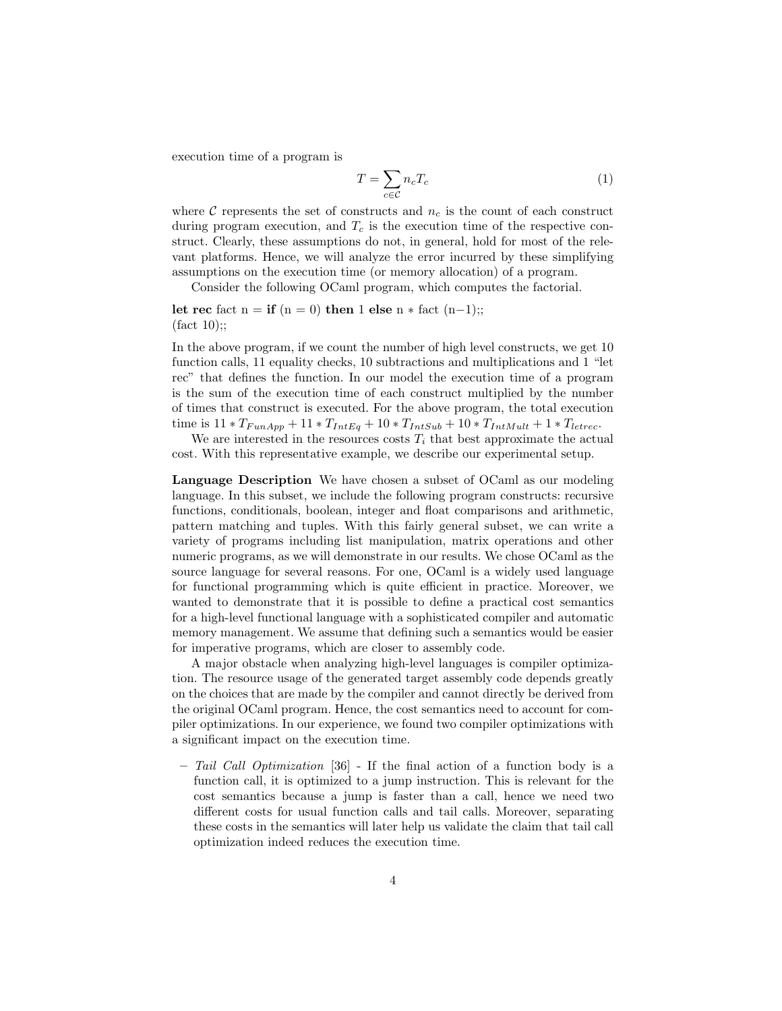execution time of a program is

$$
T = \sum_{c \in \mathcal{C}} n_c T_c \tag{1}
$$

where  $\mathcal C$  represents the set of constructs and  $n_c$  is the count of each construct during program execution, and  $T_c$  is the execution time of the respective construct. Clearly, these assumptions do not, in general, hold for most of the relevant platforms. Hence, we will analyze the error incurred by these simplifying assumptions on the execution time (or memory allocation) of a program.

Consider the following OCaml program, which computes the factorial.

let rec fact  $n =$  if  $(n = 0)$  then 1 else  $n *$  fact  $(n-1)$ ;;  $(fact 10);$ 

In the above program, if we count the number of high level constructs, we get 10 function calls, 11 equality checks, 10 subtractions and multiplications and 1 "let rec" that defines the function. In our model the execution time of a program is the sum of the execution time of each construct multiplied by the number of times that construct is executed. For the above program, the total execution time is  $11 * T_{FunApp} + 11 * T_{IntEq} + 10 * T_{IntSub} + 10 * T_{IntMult} + 1 * T_{letrec}.$ 

We are interested in the resources costs  $T_i$  that best approximate the actual cost. With this representative example, we describe our experimental setup.

Language Description We have chosen a subset of OCaml as our modeling language. In this subset, we include the following program constructs: recursive functions, conditionals, boolean, integer and float comparisons and arithmetic, pattern matching and tuples. With this fairly general subset, we can write a variety of programs including list manipulation, matrix operations and other numeric programs, as we will demonstrate in our results. We chose OCaml as the source language for several reasons. For one, OCaml is a widely used language for functional programming which is quite efficient in practice. Moreover, we wanted to demonstrate that it is possible to define a practical cost semantics for a high-level functional language with a sophisticated compiler and automatic memory management. We assume that defining such a semantics would be easier for imperative programs, which are closer to assembly code.

A major obstacle when analyzing high-level languages is compiler optimization. The resource usage of the generated target assembly code depends greatly on the choices that are made by the compiler and cannot directly be derived from the original OCaml program. Hence, the cost semantics need to account for compiler optimizations. In our experience, we found two compiler optimizations with a significant impact on the execution time.

– Tail Call Optimization [36] - If the final action of a function body is a function call, it is optimized to a jump instruction. This is relevant for the cost semantics because a jump is faster than a call, hence we need two different costs for usual function calls and tail calls. Moreover, separating these costs in the semantics will later help us validate the claim that tail call optimization indeed reduces the execution time.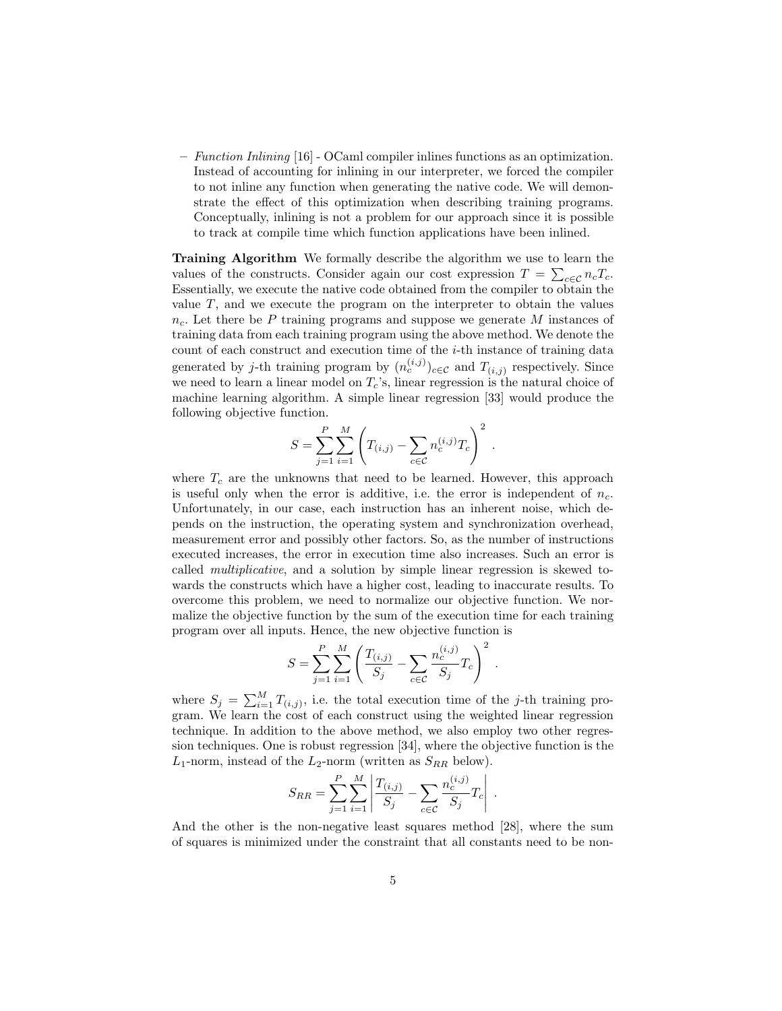$-$  Function Inlining [16]  $-$  OCaml compiler inlines functions as an optimization. Instead of accounting for inlining in our interpreter, we forced the compiler to not inline any function when generating the native code. We will demonstrate the effect of this optimization when describing training programs. Conceptually, inlining is not a problem for our approach since it is possible to track at compile time which function applications have been inlined.

Training Algorithm We formally describe the algorithm we use to learn the values of the constructs. Consider again our cost expression  $T = \sum_{c \in \mathcal{C}} n_c T_c$ . Essentially, we execute the native code obtained from the compiler to obtain the value  $T$ , and we execute the program on the interpreter to obtain the values  $n_c$ . Let there be P training programs and suppose we generate M instances of training data from each training program using the above method. We denote the count of each construct and execution time of the i-th instance of training data generated by j-th training program by  $(n_c^{(i,j)})_{c \in \mathcal{C}}$  and  $T_{(i,j)}$  respectively. Since we need to learn a linear model on  $T_c$ 's, linear regression is the natural choice of machine learning algorithm. A simple linear regression [33] would produce the following objective function.

$$
S = \sum_{j=1}^{P} \sum_{i=1}^{M} \left( T_{(i,j)} - \sum_{c \in C} n_c^{(i,j)} T_c \right)^2.
$$

where  $T_c$  are the unknowns that need to be learned. However, this approach is useful only when the error is additive, i.e. the error is independent of  $n_c$ . Unfortunately, in our case, each instruction has an inherent noise, which depends on the instruction, the operating system and synchronization overhead, measurement error and possibly other factors. So, as the number of instructions executed increases, the error in execution time also increases. Such an error is called multiplicative, and a solution by simple linear regression is skewed towards the constructs which have a higher cost, leading to inaccurate results. To overcome this problem, we need to normalize our objective function. We normalize the objective function by the sum of the execution time for each training program over all inputs. Hence, the new objective function is

$$
S = \sum_{j=1}^{P} \sum_{i=1}^{M} \left( \frac{T_{(i,j)}}{S_j} - \sum_{c \in C} \frac{n_c^{(i,j)}}{S_j} T_c \right)^2.
$$

where  $S_j = \sum_{i=1}^{M} T_{(i,j)}$ , i.e. the total execution time of the j-th training program. We learn the cost of each construct using the weighted linear regression technique. In addition to the above method, we also employ two other regression techniques. One is robust regression [34], where the objective function is the  $L_1$ -norm, instead of the  $L_2$ -norm (written as  $S_{RR}$  below).

$$
S_{RR} = \sum_{j=1}^{P} \sum_{i=1}^{M} \left| \frac{T_{(i,j)}}{S_j} - \sum_{c \in C} \frac{n_c^{(i,j)}}{S_j} T_c \right| .
$$

And the other is the non-negative least squares method [28], where the sum of squares is minimized under the constraint that all constants need to be non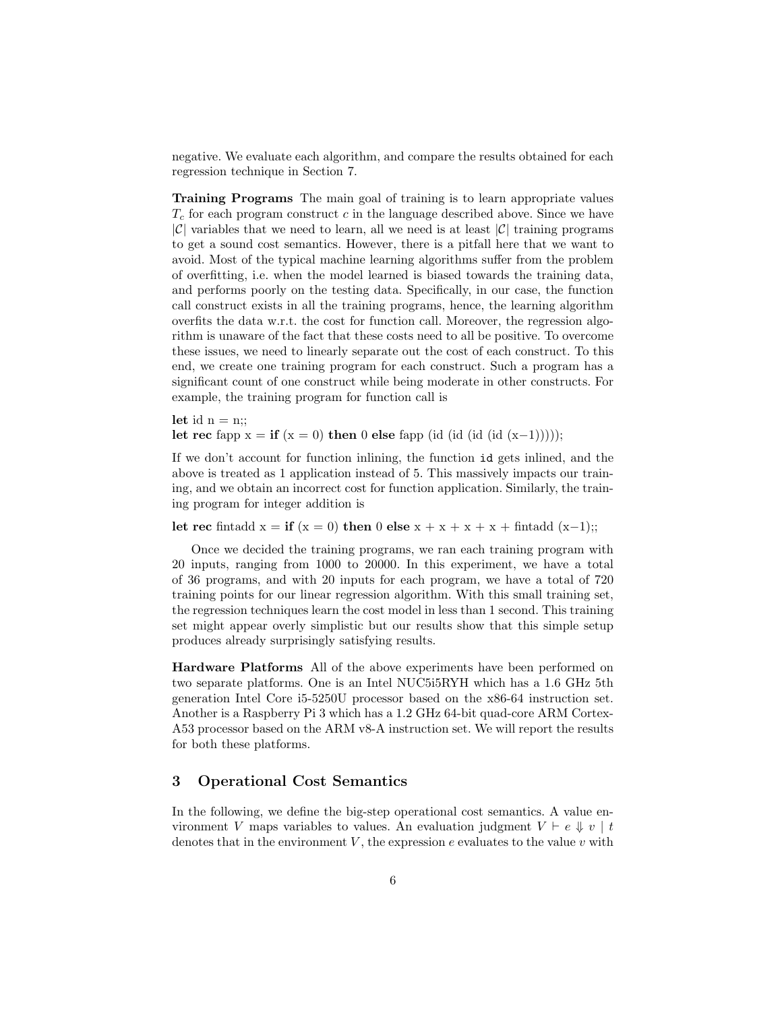negative. We evaluate each algorithm, and compare the results obtained for each regression technique in Section 7.

Training Programs The main goal of training is to learn appropriate values  $T_c$  for each program construct c in the language described above. Since we have  $|\mathcal{C}|$  variables that we need to learn, all we need is at least  $|\mathcal{C}|$  training programs to get a sound cost semantics. However, there is a pitfall here that we want to avoid. Most of the typical machine learning algorithms suffer from the problem of overfitting, i.e. when the model learned is biased towards the training data, and performs poorly on the testing data. Specifically, in our case, the function call construct exists in all the training programs, hence, the learning algorithm overfits the data w.r.t. the cost for function call. Moreover, the regression algorithm is unaware of the fact that these costs need to all be positive. To overcome these issues, we need to linearly separate out the cost of each construct. To this end, we create one training program for each construct. Such a program has a significant count of one construct while being moderate in other constructs. For example, the training program for function call is

let id  $n = n$ ;; let rec fapp  $x = if (x = 0)$  then 0 else fapp (id (id (id (id  $(x-1)$ )));

If we don't account for function inlining, the function id gets inlined, and the above is treated as 1 application instead of 5. This massively impacts our training, and we obtain an incorrect cost for function application. Similarly, the training program for integer addition is

let rec fintadd  $x = if (x = 0)$  then 0 else  $x + x + x + x +$  fintadd  $(x-1)$ ;;

Once we decided the training programs, we ran each training program with 20 inputs, ranging from 1000 to 20000. In this experiment, we have a total of 36 programs, and with 20 inputs for each program, we have a total of 720 training points for our linear regression algorithm. With this small training set, the regression techniques learn the cost model in less than 1 second. This training set might appear overly simplistic but our results show that this simple setup produces already surprisingly satisfying results.

Hardware Platforms All of the above experiments have been performed on two separate platforms. One is an Intel NUC5i5RYH which has a 1.6 GHz 5th generation Intel Core i5-5250U processor based on the x86-64 instruction set. Another is a Raspberry Pi 3 which has a 1.2 GHz 64-bit quad-core ARM Cortex-A53 processor based on the ARM v8-A instruction set. We will report the results for both these platforms.

#### 3 Operational Cost Semantics

In the following, we define the big-step operational cost semantics. A value environment V maps variables to values. An evaluation judgment  $V \vdash e \Downarrow v \mid t$ denotes that in the environment  $V$ , the expression  $e$  evaluates to the value  $v$  with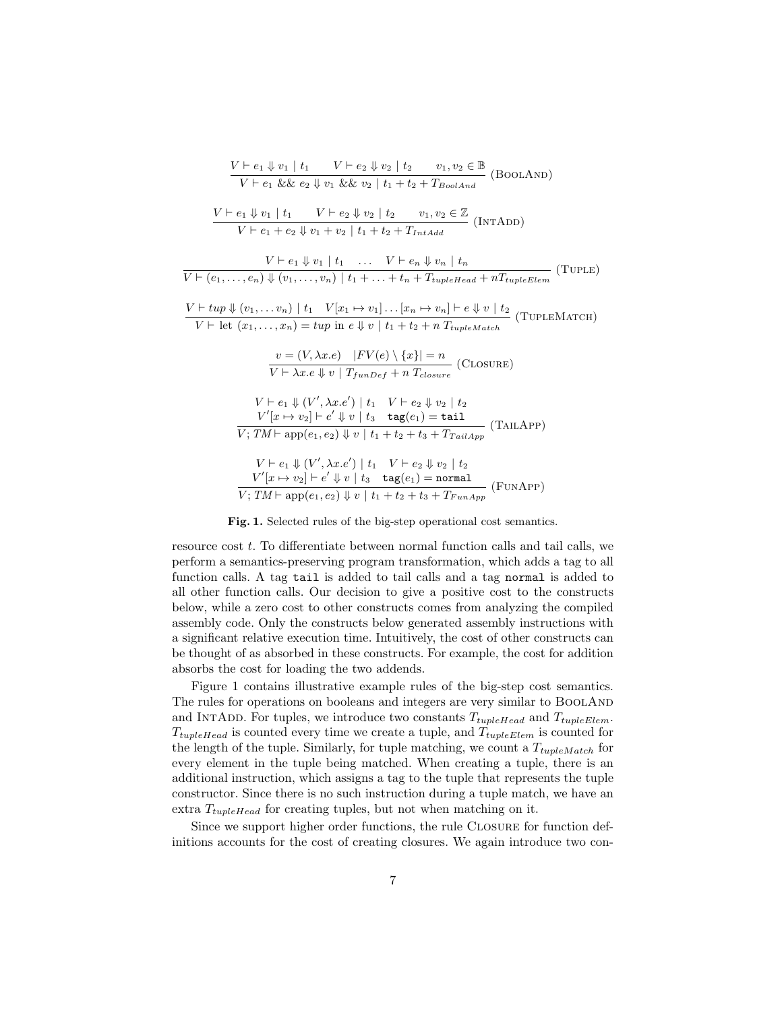| $\frac{V \vdash e_1 \Downarrow v_1 \mid t_1 \qquad V \vdash e_2 \Downarrow v_2 \mid t_2 \qquad v_1, v_2 \in \mathbb{B}}{V \vdash e_1 \&\&\; e_2 \Downarrow v_1 \&\&\; v_2 \mid t_1 + t_2 + T_{BoolAnd}} \text{ (BoolAND)}$                                                     |
|--------------------------------------------------------------------------------------------------------------------------------------------------------------------------------------------------------------------------------------------------------------------------------|
| $\frac{V \vdash e_1 \Downarrow v_1 \mid t_1 \qquad V \vdash e_2 \Downarrow v_2 \mid t_2 \qquad v_1, v_2 \in \mathbb{Z}}{V \vdash e_1 + e_2 \Downarrow v_1 + v_2 \mid t_1 + t_2 + T_{IntAdd}}$ (INTADD)                                                                         |
| $V \vdash e_1 \Downarrow v_1 \mid t_1 \quad \ldots \quad V \vdash e_n \Downarrow v_n \mid t_n$<br>(TUPLE)<br>$\overline{V \vdash (e_1, \ldots, e_n) \Downarrow (v_1, \ldots, v_n) \mid t_1 + \ldots + t_n + T_{tupleHead} + n T_{tupleElement}}$                               |
| $\frac{V \vdash tup \Downarrow (v_1, \ldots v_n) \mid t_1 \quad V[x_1 \mapsto v_1] \ldots [x_n \mapsto v_n] \vdash e \Downarrow v \mid t_2}{V \vdash \text{let } (x_1, \ldots, x_n) = tup \text{ in } e \Downarrow v \mid t_1 + t_2 + n \text{ } T_{tupleMatch}}$ (TUPLEMATCH) |
| $\frac{v = (V, \lambda x.e)}{V \vdash \lambda x.e \Downarrow v \mid T_{funDef} + n \; T_{closure}} \; \text{(CLOSURE)}$                                                                                                                                                        |
| $V \vdash e_1 \Downarrow (V', \lambda x.e')   t_1 \quad V \vdash e_2 \Downarrow v_2   t_2$<br>$V'[x \mapsto v_2] \vdash e' \Downarrow v \mid t_3$ $\text{tag}(e_1) = \text{tail}$ (TAILAPP)<br>$V; TM \vdash app(e_1, e_2) \Downarrow v   t_1 + t_2 + t_3 + T_{TailApp}$       |
| $V \vdash e_1 \Downarrow (V', \lambda x. e')   t_1 \quad V \vdash e_2 \Downarrow v_2   t_2$<br>$V'[x \mapsto v_2] \vdash e' \Downarrow v   t_3$ $\texttt{tag}(e_1) = \texttt{normal}$ (FUNAPP)<br>$V; TM \vdash app(e_1, e_2) \Downarrow v   t_1 + t_2 + t_3 + T_{FunApp}$     |

Fig. 1. Selected rules of the big-step operational cost semantics.

resource cost t. To differentiate between normal function calls and tail calls, we perform a semantics-preserving program transformation, which adds a tag to all function calls. A tag tail is added to tail calls and a tag normal is added to all other function calls. Our decision to give a positive cost to the constructs below, while a zero cost to other constructs comes from analyzing the compiled assembly code. Only the constructs below generated assembly instructions with a significant relative execution time. Intuitively, the cost of other constructs can be thought of as absorbed in these constructs. For example, the cost for addition absorbs the cost for loading the two addends.

Figure 1 contains illustrative example rules of the big-step cost semantics. The rules for operations on booleans and integers are very similar to BOOLAND and INTADD. For tuples, we introduce two constants  $T_{tupleHead}$  and  $T_{tupleElement}$ .  $T_{tupleHead}$  is counted every time we create a tuple, and  $T_{tupleElement}$  is counted for the length of the tuple. Similarly, for tuple matching, we count a  $T_{tupleMatch}$  for every element in the tuple being matched. When creating a tuple, there is an additional instruction, which assigns a tag to the tuple that represents the tuple constructor. Since there is no such instruction during a tuple match, we have an extra  $T_{tupleHead}$  for creating tuples, but not when matching on it.

Since we support higher order functions, the rule Closure for function definitions accounts for the cost of creating closures. We again introduce two con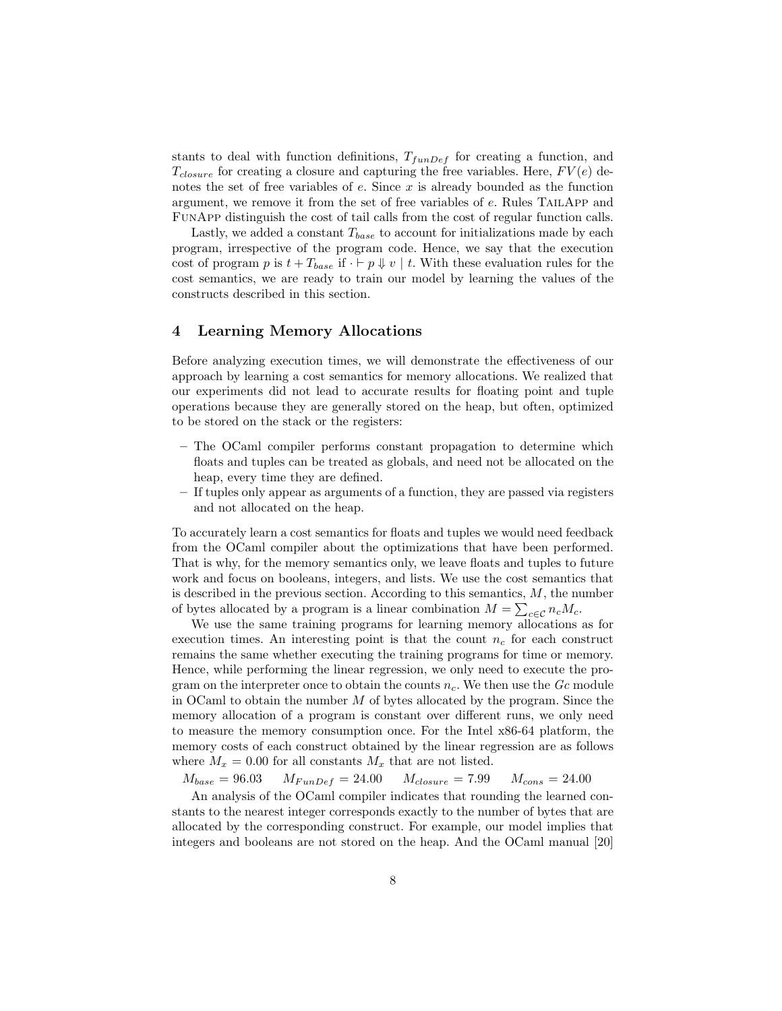stants to deal with function definitions,  $T_{funDef}$  for creating a function, and  $T_{closure}$  for creating a closure and capturing the free variables. Here,  $FV(e)$  denotes the set of free variables of  $e$ . Since  $x$  is already bounded as the function argument, we remove it from the set of free variables of  $e$ . Rules TAILAPP and FunApp distinguish the cost of tail calls from the cost of regular function calls.

Lastly, we added a constant  $T_{base}$  to account for initializations made by each program, irrespective of the program code. Hence, we say that the execution cost of program p is  $t + T_{base}$  if  $\cdot \vdash p \Downarrow v \mid t$ . With these evaluation rules for the cost semantics, we are ready to train our model by learning the values of the constructs described in this section.

#### 4 Learning Memory Allocations

Before analyzing execution times, we will demonstrate the effectiveness of our approach by learning a cost semantics for memory allocations. We realized that our experiments did not lead to accurate results for floating point and tuple operations because they are generally stored on the heap, but often, optimized to be stored on the stack or the registers:

- The OCaml compiler performs constant propagation to determine which floats and tuples can be treated as globals, and need not be allocated on the heap, every time they are defined.
- If tuples only appear as arguments of a function, they are passed via registers and not allocated on the heap.

To accurately learn a cost semantics for floats and tuples we would need feedback from the OCaml compiler about the optimizations that have been performed. That is why, for the memory semantics only, we leave floats and tuples to future work and focus on booleans, integers, and lists. We use the cost semantics that is described in the previous section. According to this semantics,  $M$ , the number of bytes allocated by a program is a linear combination  $M = \sum_{c \in \mathcal{C}} n_c M_c$ .

We use the same training programs for learning memory allocations as for execution times. An interesting point is that the count  $n_c$  for each construct remains the same whether executing the training programs for time or memory. Hence, while performing the linear regression, we only need to execute the program on the interpreter once to obtain the counts  $n_c$ . We then use the Gc module in OCaml to obtain the number  $M$  of bytes allocated by the program. Since the memory allocation of a program is constant over different runs, we only need to measure the memory consumption once. For the Intel x86-64 platform, the memory costs of each construct obtained by the linear regression are as follows where  $M_x = 0.00$  for all constants  $M_x$  that are not listed.

 $M_{base} = 96.03$   $M_{FunDef} = 24.00$   $M_{closure} = 7.99$   $M_{cons} = 24.00$ 

An analysis of the OCaml compiler indicates that rounding the learned constants to the nearest integer corresponds exactly to the number of bytes that are allocated by the corresponding construct. For example, our model implies that integers and booleans are not stored on the heap. And the OCaml manual [20]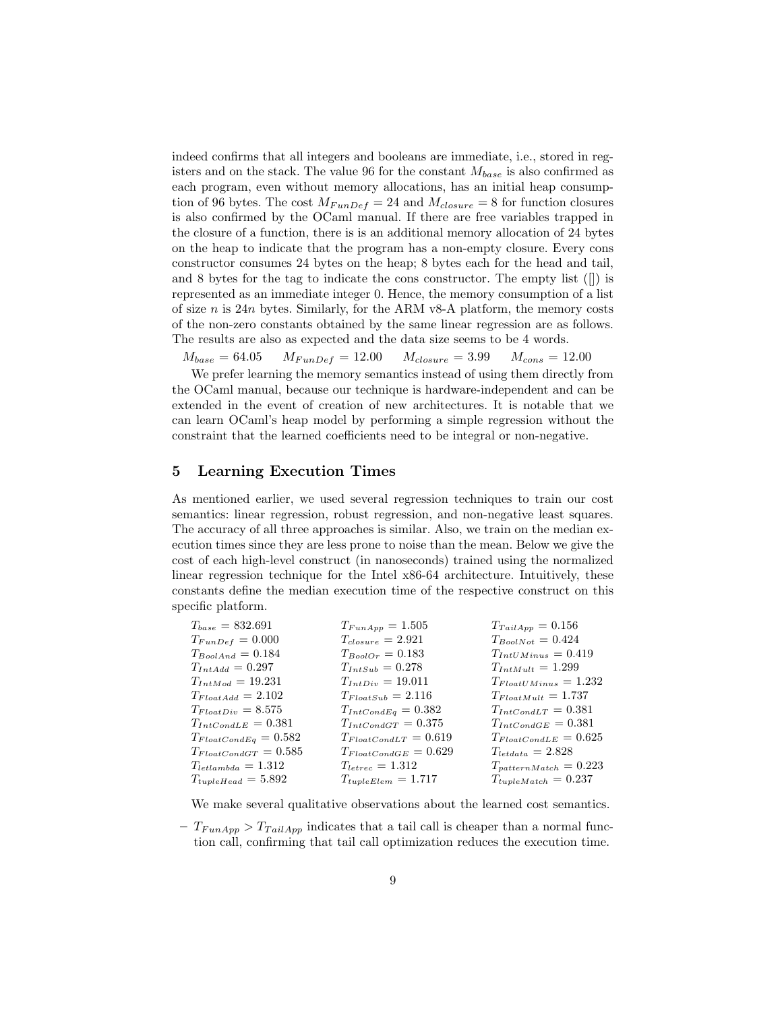indeed confirms that all integers and booleans are immediate, i.e., stored in registers and on the stack. The value 96 for the constant  $M_{base}$  is also confirmed as each program, even without memory allocations, has an initial heap consumption of 96 bytes. The cost  $M_{FunDef} = 24$  and  $M_{closure} = 8$  for function closures is also confirmed by the OCaml manual. If there are free variables trapped in the closure of a function, there is is an additional memory allocation of 24 bytes on the heap to indicate that the program has a non-empty closure. Every cons constructor consumes 24 bytes on the heap; 8 bytes each for the head and tail, and 8 bytes for the tag to indicate the cons constructor. The empty list ([]) is represented as an immediate integer 0. Hence, the memory consumption of a list of size  $n$  is 24n bytes. Similarly, for the ARM v8-A platform, the memory costs of the non-zero constants obtained by the same linear regression are as follows. The results are also as expected and the data size seems to be 4 words.

 $M_{base} = 64.05$   $M_{FunDef} = 12.00$   $M_{closure} = 3.99$   $M_{cons} = 12.00$ 

We prefer learning the memory semantics instead of using them directly from the OCaml manual, because our technique is hardware-independent and can be extended in the event of creation of new architectures. It is notable that we can learn OCaml's heap model by performing a simple regression without the constraint that the learned coefficients need to be integral or non-negative.

#### 5 Learning Execution Times

As mentioned earlier, we used several regression techniques to train our cost semantics: linear regression, robust regression, and non-negative least squares. The accuracy of all three approaches is similar. Also, we train on the median execution times since they are less prone to noise than the mean. Below we give the cost of each high-level construct (in nanoseconds) trained using the normalized linear regression technique for the Intel x86-64 architecture. Intuitively, these constants define the median execution time of the respective construct on this specific platform.

| $T_{FunApp} = 1.505$      | $T_{TailApp} = 0.156$      |
|---------------------------|----------------------------|
| $T_{closure} = 2.921$     | $T_{BoolNot} = 0.424$      |
| $T_{BoolOr} = 0.183$      | $T_{IntUMinus} = 0.419$    |
| $T_{IntSub} = 0.278$      | $T_{IntMult} = 1.299$      |
| $T_{IntDiv} = 19.011$     | $T_{FloatUMinus} = 1.232$  |
| $T_{Floatsub} = 2.116$    | $T_{FtoatMult}=1.737$      |
| $T_{IntCondEq}=0.382$     | $T_{IntCondLT} = 0.381$    |
| $T_{IntCondGT}=0.375$     | $T_{IntCondGE}=0.381$      |
| $T_{FloatCondLT} = 0.619$ | $T_{FloatCondLE} = 0.625$  |
| $T_{FloatCondGE} = 0.629$ | $T_{letdata} = 2.828$      |
| $T_{letrec} = 1.312$      | $T_{patternMatch} = 0.223$ |
| $T_{tupleElem} = 1.717$   | $T_{tupleMatch} = 0.237$   |
|                           |                            |

We make several qualitative observations about the learned cost semantics.

 $-T_{FunApp} > T_{TailApp}$  indicates that a tail call is cheaper than a normal function call, confirming that tail call optimization reduces the execution time.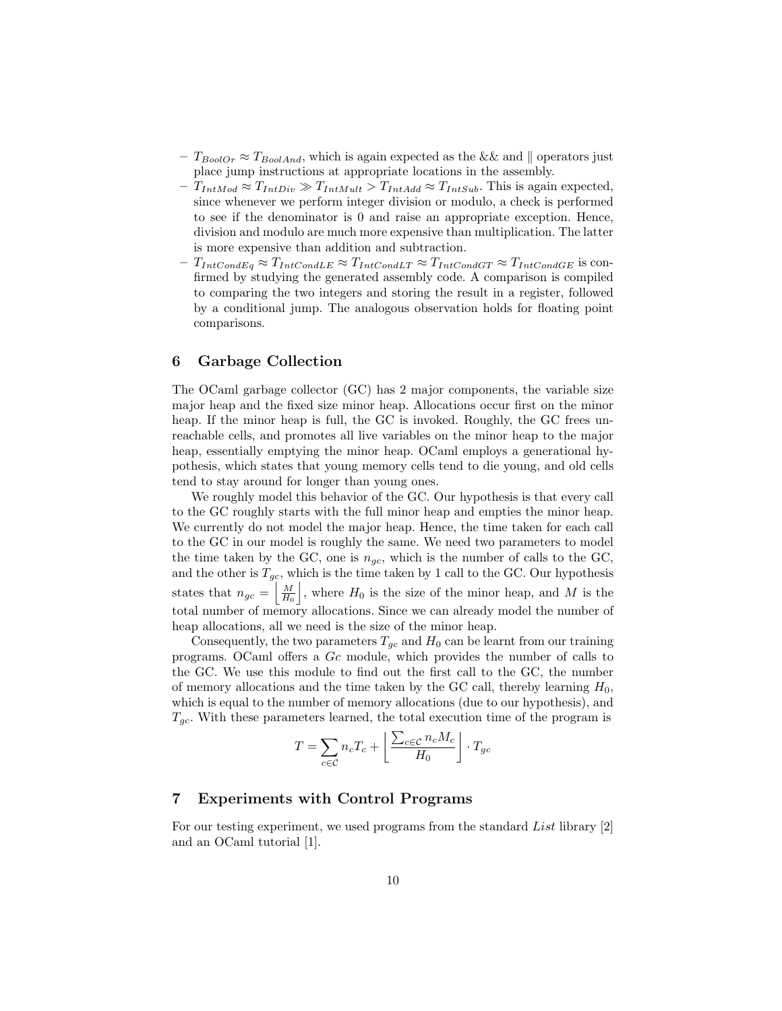- $-T_{BoolOr} \approx T_{BoolAnd}$ , which is again expected as the && and || operators just place jump instructions at appropriate locations in the assembly.
- $-T_{IntMod} \approx T_{IntDiv} \gg T_{IntMult} > T_{IntAdd} \approx T_{IntSub}$ . This is again expected, since whenever we perform integer division or modulo, a check is performed to see if the denominator is 0 and raise an appropriate exception. Hence, division and modulo are much more expensive than multiplication. The latter is more expensive than addition and subtraction.
- $-T_{IntCondEq} \approx T_{IntCondLE} \approx T_{IntCondLT} \approx T_{IntCondGT} \approx T_{IntCondGE}$  is confirmed by studying the generated assembly code. A comparison is compiled to comparing the two integers and storing the result in a register, followed by a conditional jump. The analogous observation holds for floating point comparisons.

#### 6 Garbage Collection

The OCaml garbage collector (GC) has 2 major components, the variable size major heap and the fixed size minor heap. Allocations occur first on the minor heap. If the minor heap is full, the GC is invoked. Roughly, the GC frees unreachable cells, and promotes all live variables on the minor heap to the major heap, essentially emptying the minor heap. OCaml employs a generational hypothesis, which states that young memory cells tend to die young, and old cells tend to stay around for longer than young ones.

We roughly model this behavior of the GC. Our hypothesis is that every call to the GC roughly starts with the full minor heap and empties the minor heap. We currently do not model the major heap. Hence, the time taken for each call to the GC in our model is roughly the same. We need two parameters to model the time taken by the GC, one is  $n_{qc}$ , which is the number of calls to the GC, and the other is  $T_{gc}$ , which is the time taken by 1 call to the GC. Our hypothesis states that  $n_{gc} = \left|\frac{M}{H_0}\right|$ , where  $H_0$  is the size of the minor heap, and M is the total number of memory allocations. Since we can already model the number of heap allocations, all we need is the size of the minor heap.

Consequently, the two parameters  $T_{gc}$  and  $H_0$  can be learnt from our training programs. OCaml offers a Gc module, which provides the number of calls to the GC. We use this module to find out the first call to the GC, the number of memory allocations and the time taken by the GC call, thereby learning  $H_0$ , which is equal to the number of memory allocations (due to our hypothesis), and  $T_{gc}$ . With these parameters learned, the total execution time of the program is

$$
T = \sum_{c \in \mathcal{C}} n_c T_c + \left[ \frac{\sum_{c \in \mathcal{C}} n_c M_c}{H_0} \right] \cdot T_{gc}
$$

#### 7 Experiments with Control Programs

For our testing experiment, we used programs from the standard List library [2] and an OCaml tutorial [1].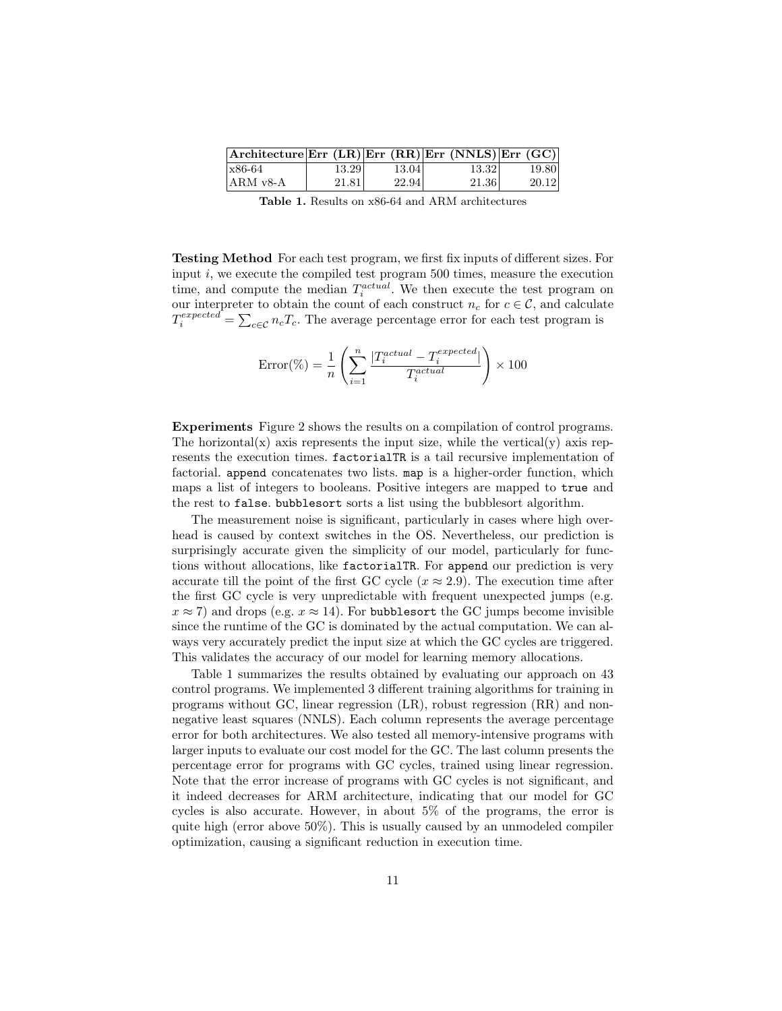| Architecture Err (LR) Err (RR) Err (NNLS) Err (GC) |       |       |        |       |
|----------------------------------------------------|-------|-------|--------|-------|
| x86-64                                             | 13.29 | 13.04 | 13.321 | 19.80 |
| ARM v8-A                                           | 21.81 | 22.94 | 21.36  | 20.12 |

Table 1. Results on x86-64 and ARM architectures

Testing Method For each test program, we first fix inputs of different sizes. For input  $i$ , we execute the compiled test program 500 times, measure the execution time, and compute the median  $T_i^{actual}$ . We then execute the test program on our interpreter to obtain the count of each construct  $n_c$  for  $c \in \mathcal{C}$ , and calculate  $T_i^{expected} = \sum_{c \in \mathcal{C}} n_c T_c$ . The average percentage error for each test program is

$$
Error(\%) = \frac{1}{n} \left( \sum_{i=1}^{n} \frac{|T_i^{actual} - T_i^{expected}|}{T_i^{actual}} \right) \times 100
$$

Experiments Figure 2 shows the results on a compilation of control programs. The horizontal(x) axis represents the input size, while the vertical(y) axis represents the execution times. factorialTR is a tail recursive implementation of factorial. append concatenates two lists. map is a higher-order function, which maps a list of integers to booleans. Positive integers are mapped to true and the rest to false. bubblesort sorts a list using the bubblesort algorithm.

The measurement noise is significant, particularly in cases where high overhead is caused by context switches in the OS. Nevertheless, our prediction is surprisingly accurate given the simplicity of our model, particularly for functions without allocations, like factorialTR. For append our prediction is very accurate till the point of the first GC cycle ( $x \approx 2.9$ ). The execution time after the first GC cycle is very unpredictable with frequent unexpected jumps (e.g.  $x \approx 7$ ) and drops (e.g.  $x \approx 14$ ). For bubbles ort the GC jumps become invisible since the runtime of the GC is dominated by the actual computation. We can always very accurately predict the input size at which the GC cycles are triggered. This validates the accuracy of our model for learning memory allocations.

Table 1 summarizes the results obtained by evaluating our approach on 43 control programs. We implemented 3 different training algorithms for training in programs without GC, linear regression (LR), robust regression (RR) and nonnegative least squares (NNLS). Each column represents the average percentage error for both architectures. We also tested all memory-intensive programs with larger inputs to evaluate our cost model for the GC. The last column presents the percentage error for programs with GC cycles, trained using linear regression. Note that the error increase of programs with GC cycles is not significant, and it indeed decreases for ARM architecture, indicating that our model for GC cycles is also accurate. However, in about 5% of the programs, the error is quite high (error above 50%). This is usually caused by an unmodeled compiler optimization, causing a significant reduction in execution time.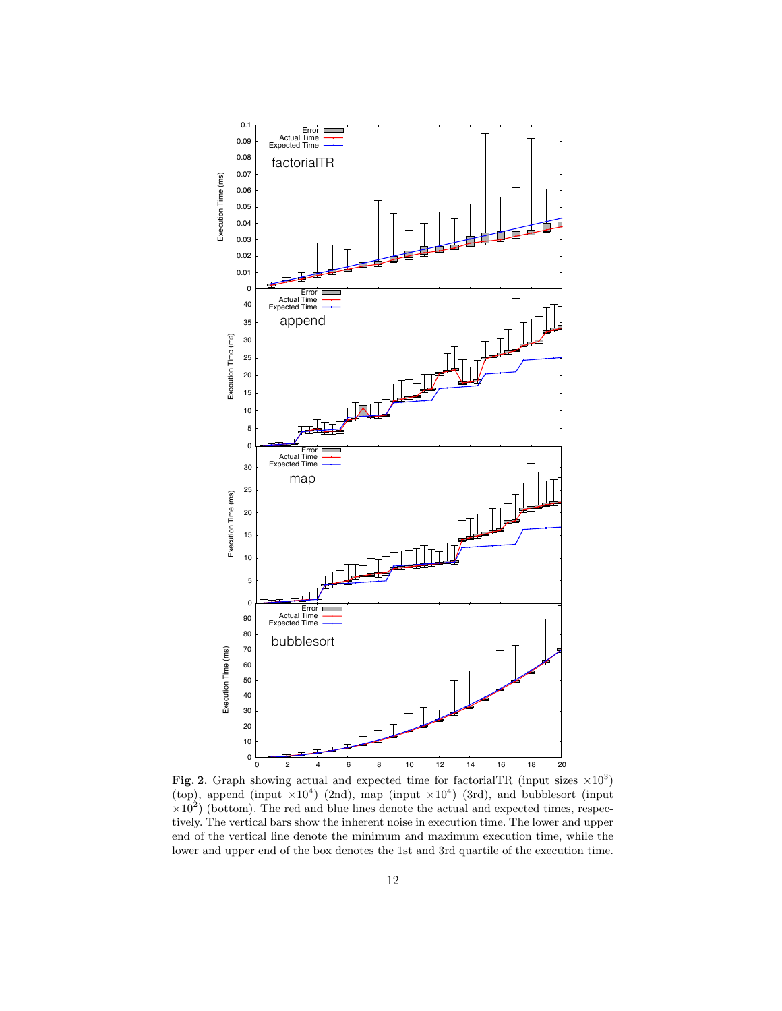

Fig. 2. Graph showing actual and expected time for factorialTR (input sizes  $\times 10^3$ ) (top), append (input  $\times 10^4$ ) (2nd), map (input  $\times 10^4$ ) (3rd), and bubblesort (input  $\times 10^{2}$ ) (bottom). The red and blue lines denote the actual and expected times, respectively. The vertical bars show the inherent noise in execution time. The lower and upper end of the vertical line denote the minimum and maximum execution time, while the lower and upper end of the box denotes the 1st and 3rd quartile of the execution time.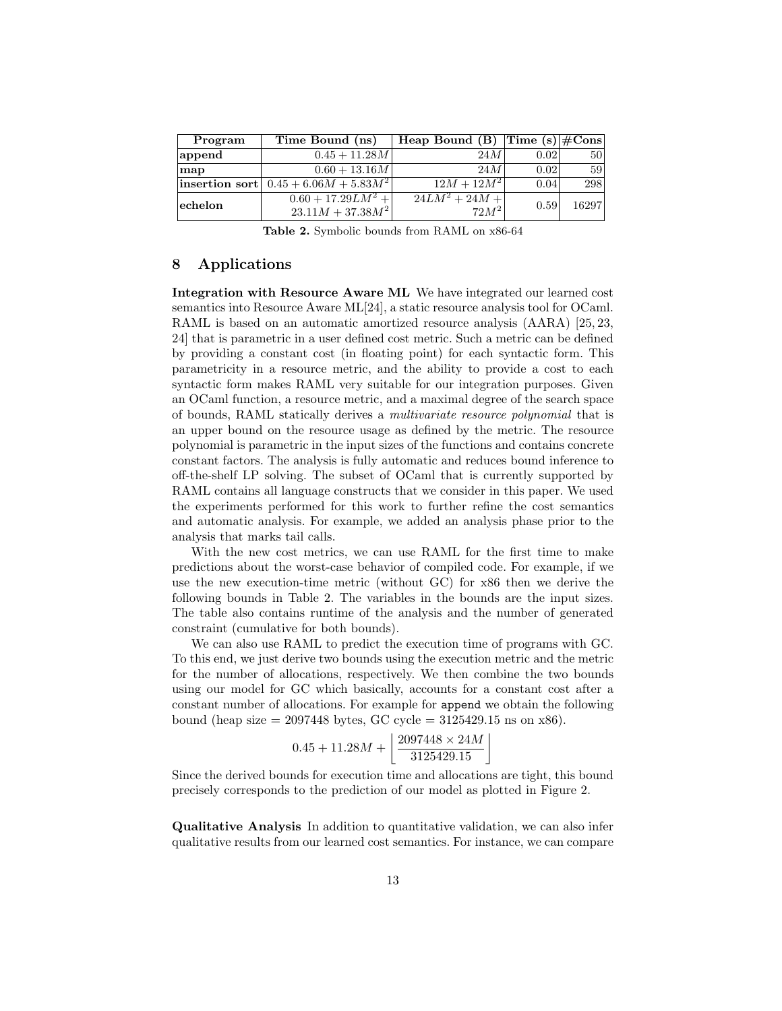| Program | Time Bound (ns)                                   | Heap Bound (B) Time (s) $\#Cons$ |      |                 |
|---------|---------------------------------------------------|----------------------------------|------|-----------------|
| append  | $0.45 + 11.28M$                                   | 24M                              | 0.02 | 50 <sub>l</sub> |
| map     | $0.60 + 13.16M$                                   | 24M                              | 0.02 | 59              |
|         | $ \text{insertion sort}  0.45 + 6.06M + 5.83M^2 $ | $12M + 12M^2$                    | 0.04 | 298             |
| echelon | $0.60 + 17.29LM^2 +$                              | $24LM^2 + 24M +$                 | 0.59 | 16297           |
|         | $23.11M + 37.38M^2$                               | $72M^2$                          |      |                 |

Table 2. Symbolic bounds from RAML on x86-64

#### 8 Applications

Integration with Resource Aware ML We have integrated our learned cost semantics into Resource Aware ML[24], a static resource analysis tool for OCaml. RAML is based on an automatic amortized resource analysis (AARA) [25, 23, 24] that is parametric in a user defined cost metric. Such a metric can be defined by providing a constant cost (in floating point) for each syntactic form. This parametricity in a resource metric, and the ability to provide a cost to each syntactic form makes RAML very suitable for our integration purposes. Given an OCaml function, a resource metric, and a maximal degree of the search space of bounds, RAML statically derives a multivariate resource polynomial that is an upper bound on the resource usage as defined by the metric. The resource polynomial is parametric in the input sizes of the functions and contains concrete constant factors. The analysis is fully automatic and reduces bound inference to off-the-shelf LP solving. The subset of OCaml that is currently supported by RAML contains all language constructs that we consider in this paper. We used the experiments performed for this work to further refine the cost semantics and automatic analysis. For example, we added an analysis phase prior to the analysis that marks tail calls.

With the new cost metrics, we can use RAML for the first time to make predictions about the worst-case behavior of compiled code. For example, if we use the new execution-time metric (without GC) for x86 then we derive the following bounds in Table 2. The variables in the bounds are the input sizes. The table also contains runtime of the analysis and the number of generated constraint (cumulative for both bounds).

We can also use RAML to predict the execution time of programs with GC. To this end, we just derive two bounds using the execution metric and the metric for the number of allocations, respectively. We then combine the two bounds using our model for GC which basically, accounts for a constant cost after a constant number of allocations. For example for append we obtain the following bound (heap size  $= 2097448$  bytes, GC cycle  $= 3125429.15$  ns on x86).

$$
0.45 + 11.28M + \left\lfloor \frac{2097448 \times 24M}{3125429.15} \right\rfloor
$$

Since the derived bounds for execution time and allocations are tight, this bound precisely corresponds to the prediction of our model as plotted in Figure 2.

Qualitative Analysis In addition to quantitative validation, we can also infer qualitative results from our learned cost semantics. For instance, we can compare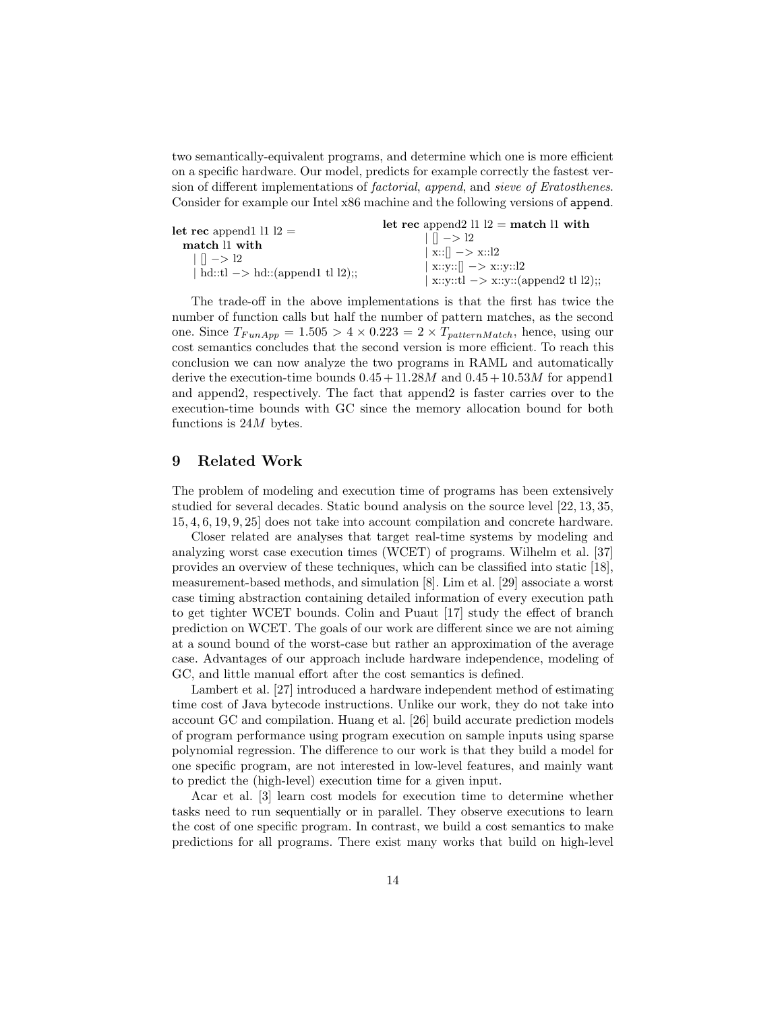two semantically-equivalent programs, and determine which one is more efficient on a specific hardware. Our model, predicts for example correctly the fastest version of different implementations of factorial, append, and sieve of Eratosthenes. Consider for example our Intel x86 machine and the following versions of append.

|                                            | let rec append $2 \mid 1 \mid 2 = \text{match} \mid 1 \text{ with}$ |
|--------------------------------------------|---------------------------------------------------------------------|
| let rec append $1112 =$                    | $    \rightarrow  2$                                                |
| match 11 with                              | $ x::  \rightarrow x::l2$                                           |
| $   \    - \rangle 2$                      | x::y:: $\  \rightarrow x$ ::y::12                                   |
| hd::tl $\rightarrow$ hd::(append1 tl 12);; |                                                                     |
|                                            | $\vert$ x::y::tl $\rightarrow$ x::y::(append2 tl 12);;              |

The trade-off in the above implementations is that the first has twice the number of function calls but half the number of pattern matches, as the second one. Since  $T_{FunApp} = 1.505 > 4 \times 0.223 = 2 \times T_{patternMatch}$ , hence, using our cost semantics concludes that the second version is more efficient. To reach this conclusion we can now analyze the two programs in RAML and automatically derive the execution-time bounds  $0.45 + 11.28M$  and  $0.45 + 10.53M$  for append1 and append2, respectively. The fact that append2 is faster carries over to the execution-time bounds with GC since the memory allocation bound for both functions is 24M bytes.

#### 9 Related Work

The problem of modeling and execution time of programs has been extensively studied for several decades. Static bound analysis on the source level [22, 13, 35, 15, 4, 6, 19, 9, 25] does not take into account compilation and concrete hardware.

Closer related are analyses that target real-time systems by modeling and analyzing worst case execution times (WCET) of programs. Wilhelm et al. [37] provides an overview of these techniques, which can be classified into static [18], measurement-based methods, and simulation [8]. Lim et al. [29] associate a worst case timing abstraction containing detailed information of every execution path to get tighter WCET bounds. Colin and Puaut [17] study the effect of branch prediction on WCET. The goals of our work are different since we are not aiming at a sound bound of the worst-case but rather an approximation of the average case. Advantages of our approach include hardware independence, modeling of GC, and little manual effort after the cost semantics is defined.

Lambert et al. [27] introduced a hardware independent method of estimating time cost of Java bytecode instructions. Unlike our work, they do not take into account GC and compilation. Huang et al. [26] build accurate prediction models of program performance using program execution on sample inputs using sparse polynomial regression. The difference to our work is that they build a model for one specific program, are not interested in low-level features, and mainly want to predict the (high-level) execution time for a given input.

Acar et al. [3] learn cost models for execution time to determine whether tasks need to run sequentially or in parallel. They observe executions to learn the cost of one specific program. In contrast, we build a cost semantics to make predictions for all programs. There exist many works that build on high-level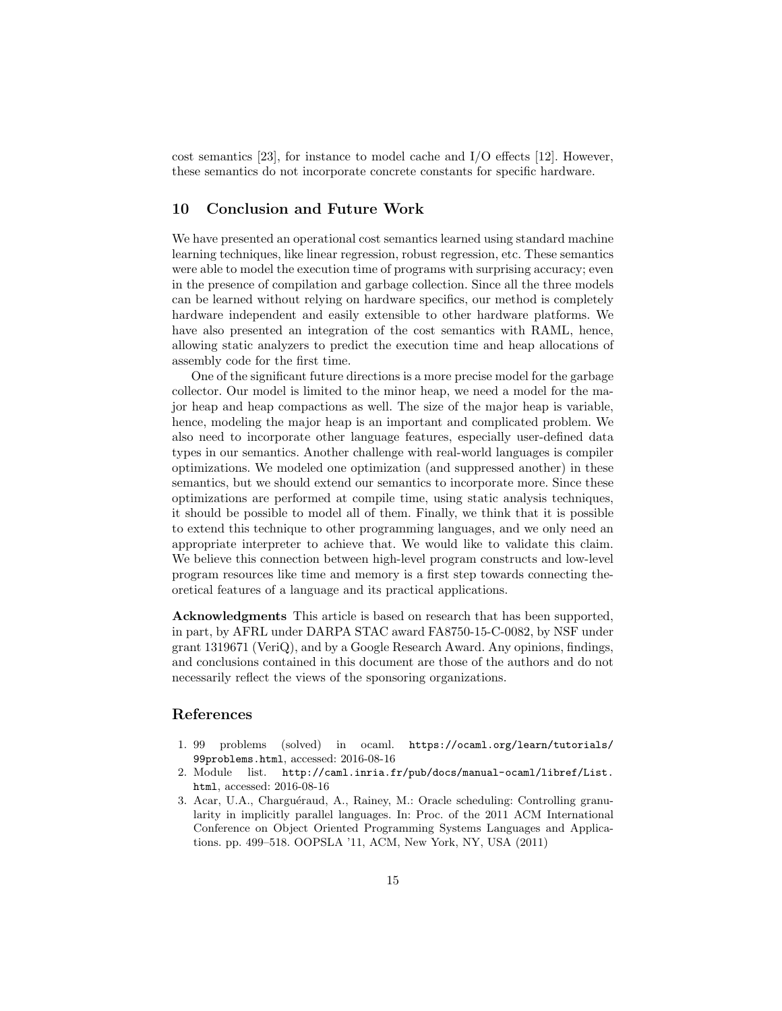cost semantics [23], for instance to model cache and I/O effects [12]. However, these semantics do not incorporate concrete constants for specific hardware.

### 10 Conclusion and Future Work

We have presented an operational cost semantics learned using standard machine learning techniques, like linear regression, robust regression, etc. These semantics were able to model the execution time of programs with surprising accuracy; even in the presence of compilation and garbage collection. Since all the three models can be learned without relying on hardware specifics, our method is completely hardware independent and easily extensible to other hardware platforms. We have also presented an integration of the cost semantics with RAML, hence, allowing static analyzers to predict the execution time and heap allocations of assembly code for the first time.

One of the significant future directions is a more precise model for the garbage collector. Our model is limited to the minor heap, we need a model for the major heap and heap compactions as well. The size of the major heap is variable, hence, modeling the major heap is an important and complicated problem. We also need to incorporate other language features, especially user-defined data types in our semantics. Another challenge with real-world languages is compiler optimizations. We modeled one optimization (and suppressed another) in these semantics, but we should extend our semantics to incorporate more. Since these optimizations are performed at compile time, using static analysis techniques, it should be possible to model all of them. Finally, we think that it is possible to extend this technique to other programming languages, and we only need an appropriate interpreter to achieve that. We would like to validate this claim. We believe this connection between high-level program constructs and low-level program resources like time and memory is a first step towards connecting theoretical features of a language and its practical applications.

Acknowledgments This article is based on research that has been supported, in part, by AFRL under DARPA STAC award FA8750-15-C-0082, by NSF under grant 1319671 (VeriQ), and by a Google Research Award. Any opinions, findings, and conclusions contained in this document are those of the authors and do not necessarily reflect the views of the sponsoring organizations.

## References

- 1. 99 problems (solved) in ocaml. https://ocaml.org/learn/tutorials/ 99problems.html, accessed: 2016-08-16
- 2. Module list. http://caml.inria.fr/pub/docs/manual-ocaml/libref/List. html, accessed: 2016-08-16
- 3. Acar, U.A., Charguéraud, A., Rainey, M.: Oracle scheduling: Controlling granularity in implicitly parallel languages. In: Proc. of the 2011 ACM International Conference on Object Oriented Programming Systems Languages and Applications. pp. 499–518. OOPSLA '11, ACM, New York, NY, USA (2011)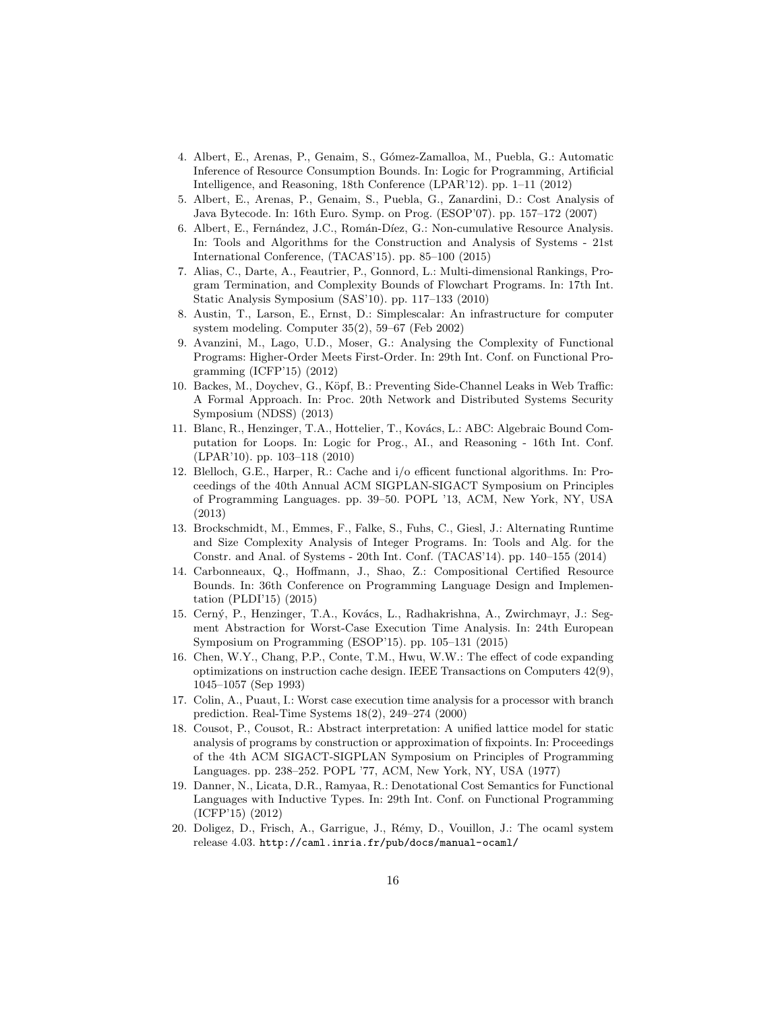- 4. Albert, E., Arenas, P., Genaim, S., G´omez-Zamalloa, M., Puebla, G.: Automatic Inference of Resource Consumption Bounds. In: Logic for Programming, Artificial Intelligence, and Reasoning, 18th Conference (LPAR'12). pp. 1–11 (2012)
- 5. Albert, E., Arenas, P., Genaim, S., Puebla, G., Zanardini, D.: Cost Analysis of Java Bytecode. In: 16th Euro. Symp. on Prog. (ESOP'07). pp. 157–172 (2007)
- 6. Albert, E., Fernández, J.C., Román-Díez, G.: Non-cumulative Resource Analysis. In: Tools and Algorithms for the Construction and Analysis of Systems - 21st International Conference, (TACAS'15). pp. 85–100 (2015)
- 7. Alias, C., Darte, A., Feautrier, P., Gonnord, L.: Multi-dimensional Rankings, Program Termination, and Complexity Bounds of Flowchart Programs. In: 17th Int. Static Analysis Symposium (SAS'10). pp. 117–133 (2010)
- 8. Austin, T., Larson, E., Ernst, D.: Simplescalar: An infrastructure for computer system modeling. Computer 35(2), 59–67 (Feb 2002)
- 9. Avanzini, M., Lago, U.D., Moser, G.: Analysing the Complexity of Functional Programs: Higher-Order Meets First-Order. In: 29th Int. Conf. on Functional Programming (ICFP'15) (2012)
- 10. Backes, M., Doychev, G., Köpf, B.: Preventing Side-Channel Leaks in Web Traffic: A Formal Approach. In: Proc. 20th Network and Distributed Systems Security Symposium (NDSS) (2013)
- 11. Blanc, R., Henzinger, T.A., Hottelier, T., Kovács, L.: ABC: Algebraic Bound Computation for Loops. In: Logic for Prog., AI., and Reasoning - 16th Int. Conf. (LPAR'10). pp. 103–118 (2010)
- 12. Blelloch, G.E., Harper, R.: Cache and i/o efficent functional algorithms. In: Proceedings of the 40th Annual ACM SIGPLAN-SIGACT Symposium on Principles of Programming Languages. pp. 39–50. POPL '13, ACM, New York, NY, USA (2013)
- 13. Brockschmidt, M., Emmes, F., Falke, S., Fuhs, C., Giesl, J.: Alternating Runtime and Size Complexity Analysis of Integer Programs. In: Tools and Alg. for the Constr. and Anal. of Systems - 20th Int. Conf. (TACAS'14). pp. 140–155 (2014)
- 14. Carbonneaux, Q., Hoffmann, J., Shao, Z.: Compositional Certified Resource Bounds. In: 36th Conference on Programming Language Design and Implementation (PLDI'15) (2015)
- 15. Cerný, P., Henzinger, T.A., Kovács, L., Radhakrishna, A., Zwirchmayr, J.: Segment Abstraction for Worst-Case Execution Time Analysis. In: 24th European Symposium on Programming (ESOP'15). pp. 105–131 (2015)
- 16. Chen, W.Y., Chang, P.P., Conte, T.M., Hwu, W.W.: The effect of code expanding optimizations on instruction cache design. IEEE Transactions on Computers 42(9), 1045–1057 (Sep 1993)
- 17. Colin, A., Puaut, I.: Worst case execution time analysis for a processor with branch prediction. Real-Time Systems 18(2), 249–274 (2000)
- 18. Cousot, P., Cousot, R.: Abstract interpretation: A unified lattice model for static analysis of programs by construction or approximation of fixpoints. In: Proceedings of the 4th ACM SIGACT-SIGPLAN Symposium on Principles of Programming Languages. pp. 238–252. POPL '77, ACM, New York, NY, USA (1977)
- 19. Danner, N., Licata, D.R., Ramyaa, R.: Denotational Cost Semantics for Functional Languages with Inductive Types. In: 29th Int. Conf. on Functional Programming (ICFP'15) (2012)
- 20. Doligez, D., Frisch, A., Garrigue, J., R´emy, D., Vouillon, J.: The ocaml system release 4.03. http://caml.inria.fr/pub/docs/manual-ocaml/